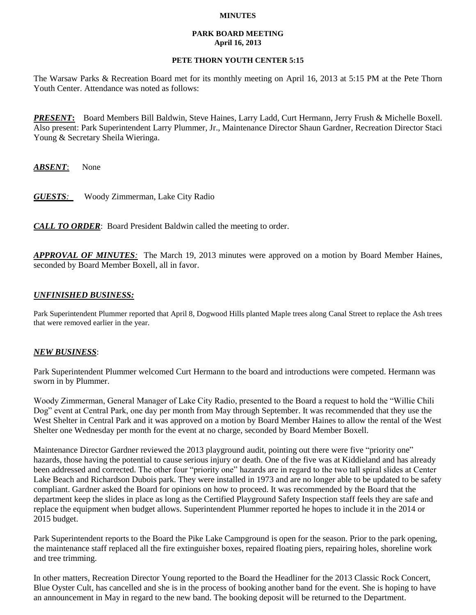### **MINUTES**

### **PARK BOARD MEETING April 16, 2013**

## **PETE THORN YOUTH CENTER 5:15**

The Warsaw Parks & Recreation Board met for its monthly meeting on April 16, 2013 at 5:15 PM at the Pete Thorn Youth Center. Attendance was noted as follows:

*PRESENT***:** Board Members Bill Baldwin, Steve Haines, Larry Ladd, Curt Hermann, Jerry Frush & Michelle Boxell. Also present: Park Superintendent Larry Plummer, Jr., Maintenance Director Shaun Gardner, Recreation Director Staci Young & Secretary Sheila Wieringa.

*ABSENT*: None

*GUESTS:*Woody Zimmerman, Lake City Radio

*CALL TO ORDER*: Board President Baldwin called the meeting to order.

*APPROVAL OF MINUTES:* The March 19, 2013 minutes were approved on a motion by Board Member Haines, seconded by Board Member Boxell, all in favor.

# *UNFINISHED BUSINESS:*

Park Superintendent Plummer reported that April 8, Dogwood Hills planted Maple trees along Canal Street to replace the Ash trees that were removed earlier in the year.

## *NEW BUSINESS*:

Park Superintendent Plummer welcomed Curt Hermann to the board and introductions were competed. Hermann was sworn in by Plummer.

Woody Zimmerman, General Manager of Lake City Radio, presented to the Board a request to hold the "Willie Chili Dog" event at Central Park, one day per month from May through September. It was recommended that they use the West Shelter in Central Park and it was approved on a motion by Board Member Haines to allow the rental of the West Shelter one Wednesday per month for the event at no charge, seconded by Board Member Boxell.

Maintenance Director Gardner reviewed the 2013 playground audit, pointing out there were five "priority one" hazards, those having the potential to cause serious injury or death. One of the five was at Kiddieland and has already been addressed and corrected. The other four "priority one" hazards are in regard to the two tall spiral slides at Center Lake Beach and Richardson Dubois park. They were installed in 1973 and are no longer able to be updated to be safety compliant. Gardner asked the Board for opinions on how to proceed. It was recommended by the Board that the department keep the slides in place as long as the Certified Playground Safety Inspection staff feels they are safe and replace the equipment when budget allows. Superintendent Plummer reported he hopes to include it in the 2014 or 2015 budget.

Park Superintendent reports to the Board the Pike Lake Campground is open for the season. Prior to the park opening, the maintenance staff replaced all the fire extinguisher boxes, repaired floating piers, repairing holes, shoreline work and tree trimming.

In other matters, Recreation Director Young reported to the Board the Headliner for the 2013 Classic Rock Concert, Blue Oyster Cult, has cancelled and she is in the process of booking another band for the event. She is hoping to have an announcement in May in regard to the new band. The booking deposit will be returned to the Department.